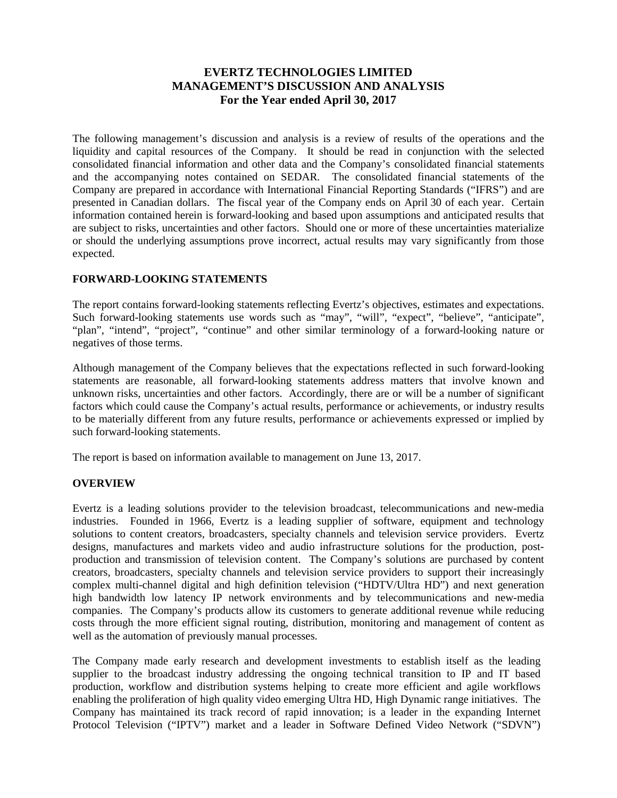# **EVERTZ TECHNOLOGIES LIMITED MANAGEMENT'S DISCUSSION AND ANALYSIS For the Year ended April 30, 2017**

The following management's discussion and analysis is a review of results of the operations and the liquidity and capital resources of the Company. It should be read in conjunction with the selected consolidated financial information and other data and the Company's consolidated financial statements and the accompanying notes contained on SEDAR. The consolidated financial statements of the Company are prepared in accordance with International Financial Reporting Standards ("IFRS") and are presented in Canadian dollars. The fiscal year of the Company ends on April 30 of each year. Certain information contained herein is forward-looking and based upon assumptions and anticipated results that are subject to risks, uncertainties and other factors. Should one or more of these uncertainties materialize or should the underlying assumptions prove incorrect, actual results may vary significantly from those expected.

# **FORWARD-LOOKING STATEMENTS**

The report contains forward-looking statements reflecting Evertz's objectives, estimates and expectations. Such forward-looking statements use words such as "may", "will", "expect", "believe", "anticipate", "plan", "intend", "project", "continue" and other similar terminology of a forward-looking nature or negatives of those terms.

Although management of the Company believes that the expectations reflected in such forward-looking statements are reasonable, all forward-looking statements address matters that involve known and unknown risks, uncertainties and other factors. Accordingly, there are or will be a number of significant factors which could cause the Company's actual results, performance or achievements, or industry results to be materially different from any future results, performance or achievements expressed or implied by such forward-looking statements.

The report is based on information available to management on June 13, 2017.

# **OVERVIEW**

Evertz is a leading solutions provider to the television broadcast, telecommunications and new-media industries. Founded in 1966, Evertz is a leading supplier of software, equipment and technology solutions to content creators, broadcasters, specialty channels and television service providers. Evertz designs, manufactures and markets video and audio infrastructure solutions for the production, postproduction and transmission of television content. The Company's solutions are purchased by content creators, broadcasters, specialty channels and television service providers to support their increasingly complex multi-channel digital and high definition television ("HDTV/Ultra HD") and next generation high bandwidth low latency IP network environments and by telecommunications and new-media companies. The Company's products allow its customers to generate additional revenue while reducing costs through the more efficient signal routing, distribution, monitoring and management of content as well as the automation of previously manual processes.

The Company made early research and development investments to establish itself as the leading supplier to the broadcast industry addressing the ongoing technical transition to IP and IT based production, workflow and distribution systems helping to create more efficient and agile workflows enabling the proliferation of high quality video emerging Ultra HD, High Dynamic range initiatives. The Company has maintained its track record of rapid innovation; is a leader in the expanding Internet Protocol Television ("IPTV") market and a leader in Software Defined Video Network ("SDVN")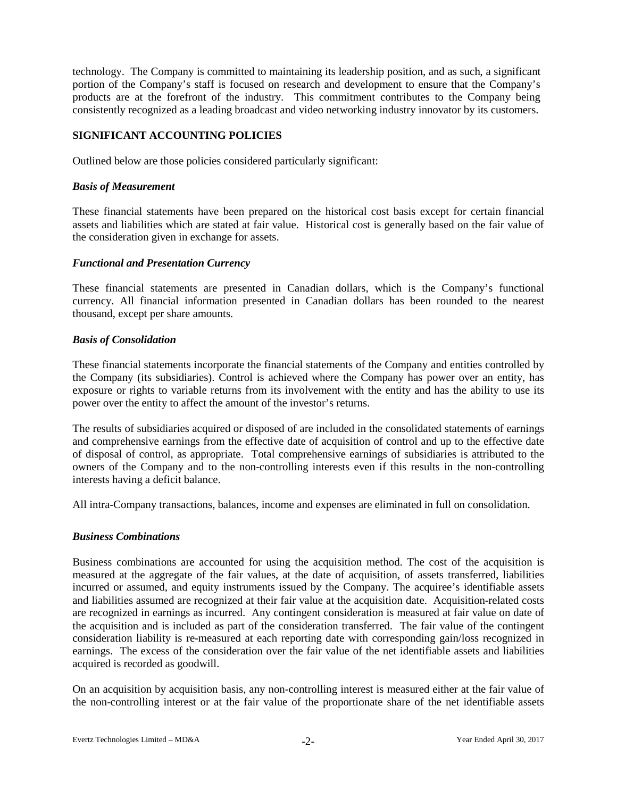technology. The Company is committed to maintaining its leadership position, and as such, a significant portion of the Company's staff is focused on research and development to ensure that the Company's products are at the forefront of the industry. This commitment contributes to the Company being consistently recognized as a leading broadcast and video networking industry innovator by its customers.

# **SIGNIFICANT ACCOUNTING POLICIES**

Outlined below are those policies considered particularly significant:

### *Basis of Measurement*

These financial statements have been prepared on the historical cost basis except for certain financial assets and liabilities which are stated at fair value. Historical cost is generally based on the fair value of the consideration given in exchange for assets.

### *Functional and Presentation Currency*

These financial statements are presented in Canadian dollars, which is the Company's functional currency. All financial information presented in Canadian dollars has been rounded to the nearest thousand, except per share amounts.

### *Basis of Consolidation*

These financial statements incorporate the financial statements of the Company and entities controlled by the Company (its subsidiaries). Control is achieved where the Company has power over an entity, has exposure or rights to variable returns from its involvement with the entity and has the ability to use its power over the entity to affect the amount of the investor's returns.

The results of subsidiaries acquired or disposed of are included in the consolidated statements of earnings and comprehensive earnings from the effective date of acquisition of control and up to the effective date of disposal of control, as appropriate. Total comprehensive earnings of subsidiaries is attributed to the owners of the Company and to the non-controlling interests even if this results in the non-controlling interests having a deficit balance.

All intra-Company transactions, balances, income and expenses are eliminated in full on consolidation.

#### *Business Combinations*

Business combinations are accounted for using the acquisition method. The cost of the acquisition is measured at the aggregate of the fair values, at the date of acquisition, of assets transferred, liabilities incurred or assumed, and equity instruments issued by the Company. The acquiree's identifiable assets and liabilities assumed are recognized at their fair value at the acquisition date. Acquisition-related costs are recognized in earnings as incurred. Any contingent consideration is measured at fair value on date of the acquisition and is included as part of the consideration transferred. The fair value of the contingent consideration liability is re-measured at each reporting date with corresponding gain/loss recognized in earnings. The excess of the consideration over the fair value of the net identifiable assets and liabilities acquired is recorded as goodwill.

On an acquisition by acquisition basis, any non-controlling interest is measured either at the fair value of the non-controlling interest or at the fair value of the proportionate share of the net identifiable assets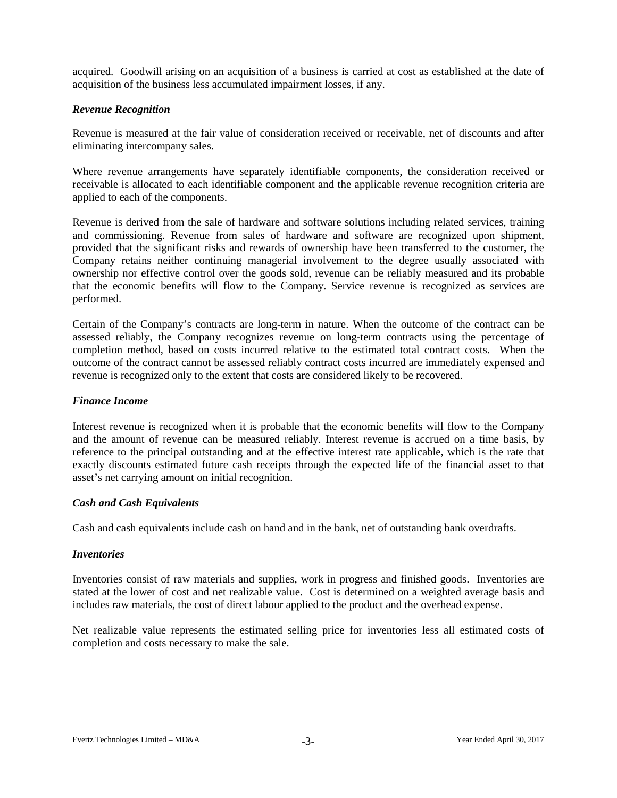acquired. Goodwill arising on an acquisition of a business is carried at cost as established at the date of acquisition of the business less accumulated impairment losses, if any.

### *Revenue Recognition*

Revenue is measured at the fair value of consideration received or receivable, net of discounts and after eliminating intercompany sales.

Where revenue arrangements have separately identifiable components, the consideration received or receivable is allocated to each identifiable component and the applicable revenue recognition criteria are applied to each of the components.

Revenue is derived from the sale of hardware and software solutions including related services, training and commissioning. Revenue from sales of hardware and software are recognized upon shipment, provided that the significant risks and rewards of ownership have been transferred to the customer, the Company retains neither continuing managerial involvement to the degree usually associated with ownership nor effective control over the goods sold, revenue can be reliably measured and its probable that the economic benefits will flow to the Company. Service revenue is recognized as services are performed.

Certain of the Company's contracts are long-term in nature. When the outcome of the contract can be assessed reliably, the Company recognizes revenue on long-term contracts using the percentage of completion method, based on costs incurred relative to the estimated total contract costs. When the outcome of the contract cannot be assessed reliably contract costs incurred are immediately expensed and revenue is recognized only to the extent that costs are considered likely to be recovered.

### *Finance Income*

Interest revenue is recognized when it is probable that the economic benefits will flow to the Company and the amount of revenue can be measured reliably. Interest revenue is accrued on a time basis, by reference to the principal outstanding and at the effective interest rate applicable, which is the rate that exactly discounts estimated future cash receipts through the expected life of the financial asset to that asset's net carrying amount on initial recognition.

#### *Cash and Cash Equivalents*

Cash and cash equivalents include cash on hand and in the bank, net of outstanding bank overdrafts.

### *Inventories*

Inventories consist of raw materials and supplies, work in progress and finished goods. Inventories are stated at the lower of cost and net realizable value. Cost is determined on a weighted average basis and includes raw materials, the cost of direct labour applied to the product and the overhead expense.

Net realizable value represents the estimated selling price for inventories less all estimated costs of completion and costs necessary to make the sale.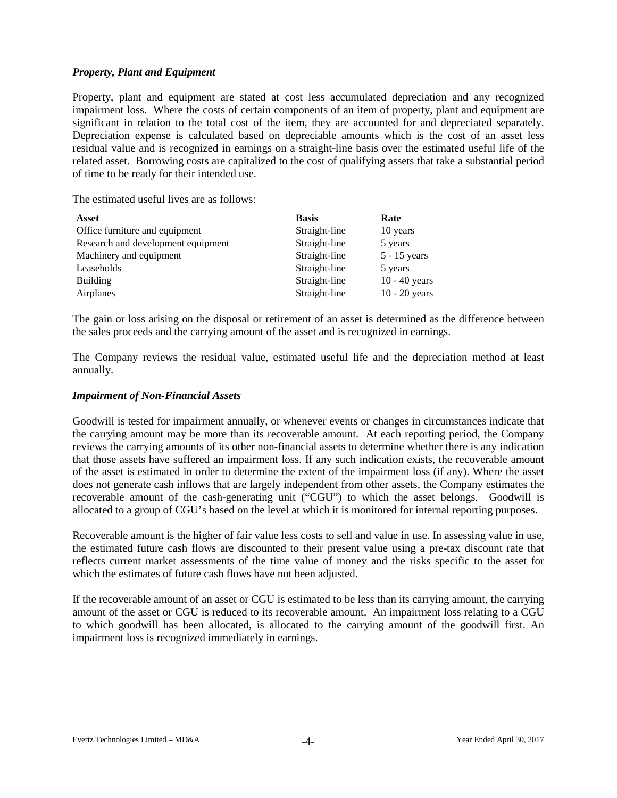# *Property, Plant and Equipment*

Property, plant and equipment are stated at cost less accumulated depreciation and any recognized impairment loss. Where the costs of certain components of an item of property, plant and equipment are significant in relation to the total cost of the item, they are accounted for and depreciated separately. Depreciation expense is calculated based on depreciable amounts which is the cost of an asset less residual value and is recognized in earnings on a straight-line basis over the estimated useful life of the related asset. Borrowing costs are capitalized to the cost of qualifying assets that take a substantial period of time to be ready for their intended use.

The estimated useful lives are as follows:

| Asset                              | <b>Basis</b>  | Rate            |
|------------------------------------|---------------|-----------------|
| Office furniture and equipment     | Straight-line | 10 years        |
| Research and development equipment | Straight-line | 5 years         |
| Machinery and equipment            | Straight-line | $5 - 15$ years  |
| Leaseholds                         | Straight-line | 5 years         |
| Building                           | Straight-line | $10 - 40$ years |
| Airplanes                          | Straight-line | $10 - 20$ years |

The gain or loss arising on the disposal or retirement of an asset is determined as the difference between the sales proceeds and the carrying amount of the asset and is recognized in earnings.

The Company reviews the residual value, estimated useful life and the depreciation method at least annually.

### *Impairment of Non-Financial Assets*

Goodwill is tested for impairment annually, or whenever events or changes in circumstances indicate that the carrying amount may be more than its recoverable amount. At each reporting period, the Company reviews the carrying amounts of its other non-financial assets to determine whether there is any indication that those assets have suffered an impairment loss. If any such indication exists, the recoverable amount of the asset is estimated in order to determine the extent of the impairment loss (if any). Where the asset does not generate cash inflows that are largely independent from other assets, the Company estimates the recoverable amount of the cash-generating unit ("CGU") to which the asset belongs. Goodwill is allocated to a group of CGU's based on the level at which it is monitored for internal reporting purposes.

Recoverable amount is the higher of fair value less costs to sell and value in use. In assessing value in use, the estimated future cash flows are discounted to their present value using a pre-tax discount rate that reflects current market assessments of the time value of money and the risks specific to the asset for which the estimates of future cash flows have not been adjusted.

If the recoverable amount of an asset or CGU is estimated to be less than its carrying amount, the carrying amount of the asset or CGU is reduced to its recoverable amount. An impairment loss relating to a CGU to which goodwill has been allocated, is allocated to the carrying amount of the goodwill first. An impairment loss is recognized immediately in earnings.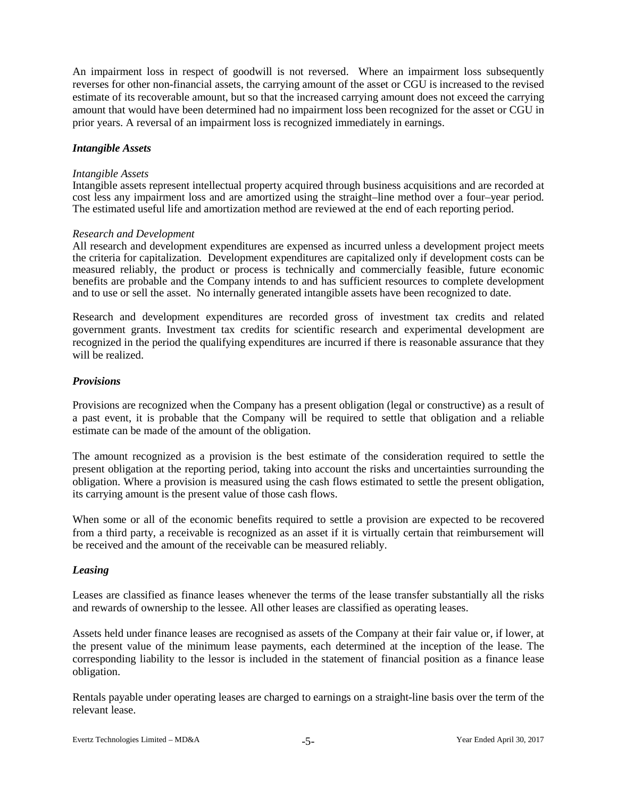An impairment loss in respect of goodwill is not reversed. Where an impairment loss subsequently reverses for other non-financial assets, the carrying amount of the asset or CGU is increased to the revised estimate of its recoverable amount, but so that the increased carrying amount does not exceed the carrying amount that would have been determined had no impairment loss been recognized for the asset or CGU in prior years. A reversal of an impairment loss is recognized immediately in earnings.

### *Intangible Assets*

#### *Intangible Assets*

Intangible assets represent intellectual property acquired through business acquisitions and are recorded at cost less any impairment loss and are amortized using the straight–line method over a four–year period. The estimated useful life and amortization method are reviewed at the end of each reporting period.

### *Research and Development*

All research and development expenditures are expensed as incurred unless a development project meets the criteria for capitalization. Development expenditures are capitalized only if development costs can be measured reliably, the product or process is technically and commercially feasible, future economic benefits are probable and the Company intends to and has sufficient resources to complete development and to use or sell the asset. No internally generated intangible assets have been recognized to date.

Research and development expenditures are recorded gross of investment tax credits and related government grants. Investment tax credits for scientific research and experimental development are recognized in the period the qualifying expenditures are incurred if there is reasonable assurance that they will be realized.

### *Provisions*

Provisions are recognized when the Company has a present obligation (legal or constructive) as a result of a past event, it is probable that the Company will be required to settle that obligation and a reliable estimate can be made of the amount of the obligation.

The amount recognized as a provision is the best estimate of the consideration required to settle the present obligation at the reporting period, taking into account the risks and uncertainties surrounding the obligation. Where a provision is measured using the cash flows estimated to settle the present obligation, its carrying amount is the present value of those cash flows.

When some or all of the economic benefits required to settle a provision are expected to be recovered from a third party, a receivable is recognized as an asset if it is virtually certain that reimbursement will be received and the amount of the receivable can be measured reliably.

### *Leasing*

Leases are classified as finance leases whenever the terms of the lease transfer substantially all the risks and rewards of ownership to the lessee. All other leases are classified as operating leases.

Assets held under finance leases are recognised as assets of the Company at their fair value or, if lower, at the present value of the minimum lease payments, each determined at the inception of the lease. The corresponding liability to the lessor is included in the statement of financial position as a finance lease obligation.

Rentals payable under operating leases are charged to earnings on a straight-line basis over the term of the relevant lease.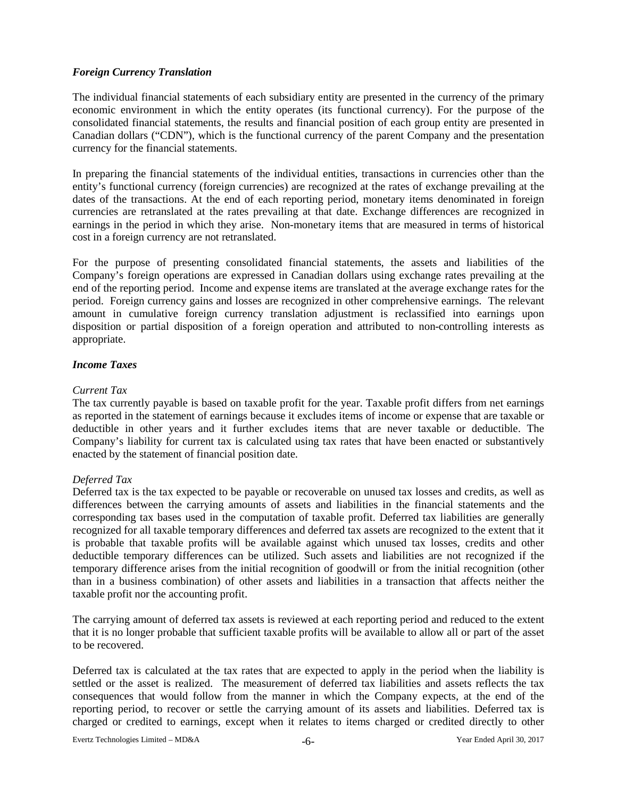# *Foreign Currency Translation*

The individual financial statements of each subsidiary entity are presented in the currency of the primary economic environment in which the entity operates (its functional currency). For the purpose of the consolidated financial statements, the results and financial position of each group entity are presented in Canadian dollars ("CDN"), which is the functional currency of the parent Company and the presentation currency for the financial statements.

In preparing the financial statements of the individual entities, transactions in currencies other than the entity's functional currency (foreign currencies) are recognized at the rates of exchange prevailing at the dates of the transactions. At the end of each reporting period, monetary items denominated in foreign currencies are retranslated at the rates prevailing at that date. Exchange differences are recognized in earnings in the period in which they arise. Non-monetary items that are measured in terms of historical cost in a foreign currency are not retranslated.

For the purpose of presenting consolidated financial statements, the assets and liabilities of the Company's foreign operations are expressed in Canadian dollars using exchange rates prevailing at the end of the reporting period. Income and expense items are translated at the average exchange rates for the period. Foreign currency gains and losses are recognized in other comprehensive earnings. The relevant amount in cumulative foreign currency translation adjustment is reclassified into earnings upon disposition or partial disposition of a foreign operation and attributed to non-controlling interests as appropriate.

# *Income Taxes*

### *Current Tax*

The tax currently payable is based on taxable profit for the year. Taxable profit differs from net earnings as reported in the statement of earnings because it excludes items of income or expense that are taxable or deductible in other years and it further excludes items that are never taxable or deductible. The Company's liability for current tax is calculated using tax rates that have been enacted or substantively enacted by the statement of financial position date.

# *Deferred Tax*

Deferred tax is the tax expected to be payable or recoverable on unused tax losses and credits, as well as differences between the carrying amounts of assets and liabilities in the financial statements and the corresponding tax bases used in the computation of taxable profit. Deferred tax liabilities are generally recognized for all taxable temporary differences and deferred tax assets are recognized to the extent that it is probable that taxable profits will be available against which unused tax losses, credits and other deductible temporary differences can be utilized. Such assets and liabilities are not recognized if the temporary difference arises from the initial recognition of goodwill or from the initial recognition (other than in a business combination) of other assets and liabilities in a transaction that affects neither the taxable profit nor the accounting profit.

The carrying amount of deferred tax assets is reviewed at each reporting period and reduced to the extent that it is no longer probable that sufficient taxable profits will be available to allow all or part of the asset to be recovered.

Deferred tax is calculated at the tax rates that are expected to apply in the period when the liability is settled or the asset is realized. The measurement of deferred tax liabilities and assets reflects the tax consequences that would follow from the manner in which the Company expects, at the end of the reporting period, to recover or settle the carrying amount of its assets and liabilities. Deferred tax is charged or credited to earnings, except when it relates to items charged or credited directly to other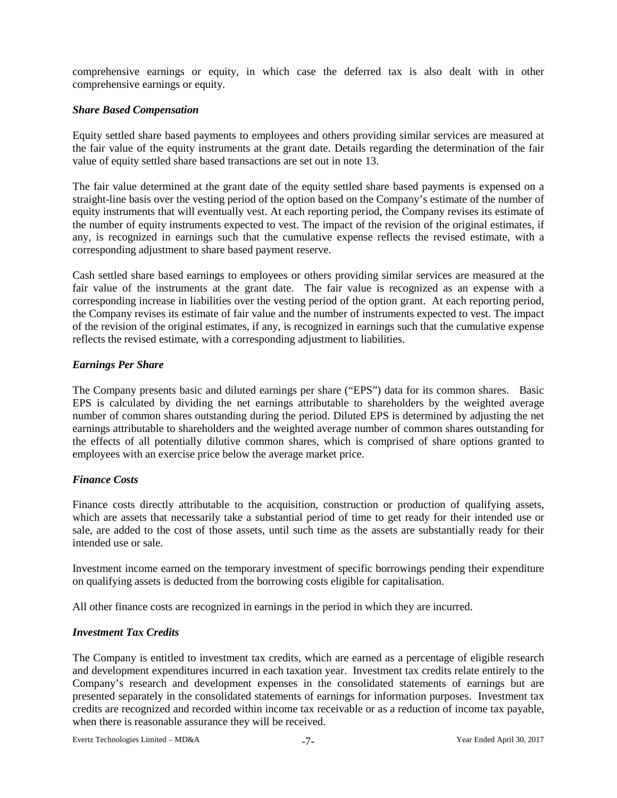comprehensive earnings or equity, in which case the deferred tax is also dealt with in other comprehensive earnings or equity.

## *Share Based Compensation*

Equity settled share based payments to employees and others providing similar services are measured at the fair value of the equity instruments at the grant date. Details regarding the determination of the fair value of equity settled share based transactions are set out in note 13.

The fair value determined at the grant date of the equity settled share based payments is expensed on a straight-line basis over the vesting period of the option based on the Company's estimate of the number of equity instruments that will eventually vest. At each reporting period, the Company revises its estimate of the number of equity instruments expected to vest. The impact of the revision of the original estimates, if any, is recognized in earnings such that the cumulative expense reflects the revised estimate, with a corresponding adjustment to share based payment reserve.

Cash settled share based earnings to employees or others providing similar services are measured at the fair value of the instruments at the grant date. The fair value is recognized as an expense with a corresponding increase in liabilities over the vesting period of the option grant. At each reporting period, the Company revises its estimate of fair value and the number of instruments expected to vest. The impact of the revision of the original estimates, if any, is recognized in earnings such that the cumulative expense reflects the revised estimate, with a corresponding adjustment to liabilities.

# *Earnings Per Share*

The Company presents basic and diluted earnings per share ("EPS") data for its common shares. Basic EPS is calculated by dividing the net earnings attributable to shareholders by the weighted average number of common shares outstanding during the period. Diluted EPS is determined by adjusting the net earnings attributable to shareholders and the weighted average number of common shares outstanding for the effects of all potentially dilutive common shares, which is comprised of share options granted to employees with an exercise price below the average market price.

# *Finance Costs*

Finance costs directly attributable to the acquisition, construction or production of qualifying assets, which are assets that necessarily take a substantial period of time to get ready for their intended use or sale, are added to the cost of those assets, until such time as the assets are substantially ready for their intended use or sale.

Investment income earned on the temporary investment of specific borrowings pending their expenditure on qualifying assets is deducted from the borrowing costs eligible for capitalisation.

All other finance costs are recognized in earnings in the period in which they are incurred.

# *Investment Tax Credits*

The Company is entitled to investment tax credits, which are earned as a percentage of eligible research and development expenditures incurred in each taxation year. Investment tax credits relate entirely to the Company's research and development expenses in the consolidated statements of earnings but are presented separately in the consolidated statements of earnings for information purposes. Investment tax credits are recognized and recorded within income tax receivable or as a reduction of income tax payable, when there is reasonable assurance they will be received.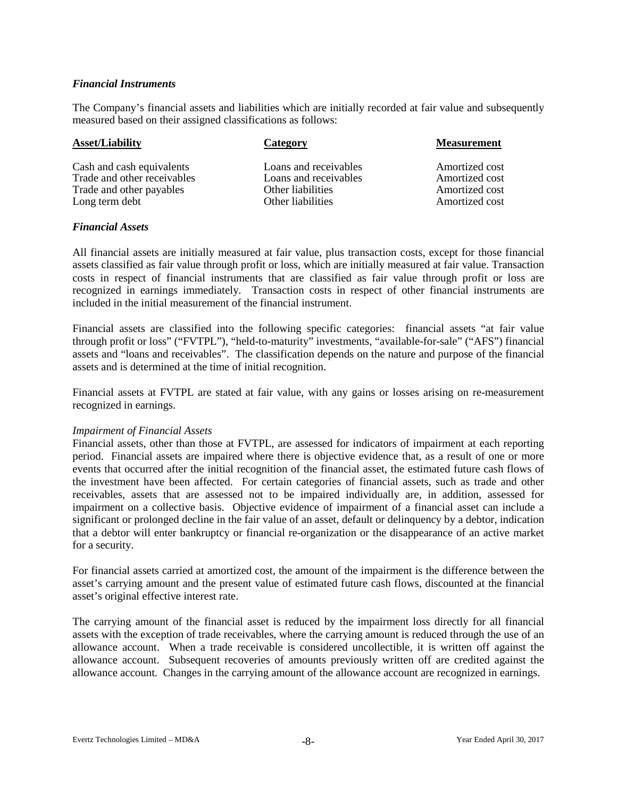### *Financial Instruments*

The Company's financial assets and liabilities which are initially recorded at fair value and subsequently measured based on their assigned classifications as follows:

| <b>Asset/Liability</b>      | Category              | <b>Measurement</b> |
|-----------------------------|-----------------------|--------------------|
| Cash and cash equivalents   | Loans and receivables | Amortized cost     |
| Trade and other receivables | Loans and receivables | Amortized cost     |
| Trade and other payables    | Other liabilities     | Amortized cost     |
| Long term debt              | Other liabilities     | Amortized cost     |

### *Financial Assets*

All financial assets are initially measured at fair value, plus transaction costs, except for those financial assets classified as fair value through profit or loss, which are initially measured at fair value. Transaction costs in respect of financial instruments that are classified as fair value through profit or loss are recognized in earnings immediately. Transaction costs in respect of other financial instruments are included in the initial measurement of the financial instrument.

Financial assets are classified into the following specific categories: financial assets "at fair value through profit or loss" ("FVTPL"), "held-to-maturity" investments, "available-for-sale" ("AFS") financial assets and "loans and receivables". The classification depends on the nature and purpose of the financial assets and is determined at the time of initial recognition.

Financial assets at FVTPL are stated at fair value, with any gains or losses arising on re-measurement recognized in earnings.

#### *Impairment of Financial Assets*

Financial assets, other than those at FVTPL, are assessed for indicators of impairment at each reporting period. Financial assets are impaired where there is objective evidence that, as a result of one or more events that occurred after the initial recognition of the financial asset, the estimated future cash flows of the investment have been affected. For certain categories of financial assets, such as trade and other receivables, assets that are assessed not to be impaired individually are, in addition, assessed for impairment on a collective basis. Objective evidence of impairment of a financial asset can include a significant or prolonged decline in the fair value of an asset, default or delinquency by a debtor, indication that a debtor will enter bankruptcy or financial re-organization or the disappearance of an active market for a security.

For financial assets carried at amortized cost, the amount of the impairment is the difference between the asset's carrying amount and the present value of estimated future cash flows, discounted at the financial asset's original effective interest rate.

The carrying amount of the financial asset is reduced by the impairment loss directly for all financial assets with the exception of trade receivables, where the carrying amount is reduced through the use of an allowance account. When a trade receivable is considered uncollectible, it is written off against the allowance account. Subsequent recoveries of amounts previously written off are credited against the allowance account. Changes in the carrying amount of the allowance account are recognized in earnings.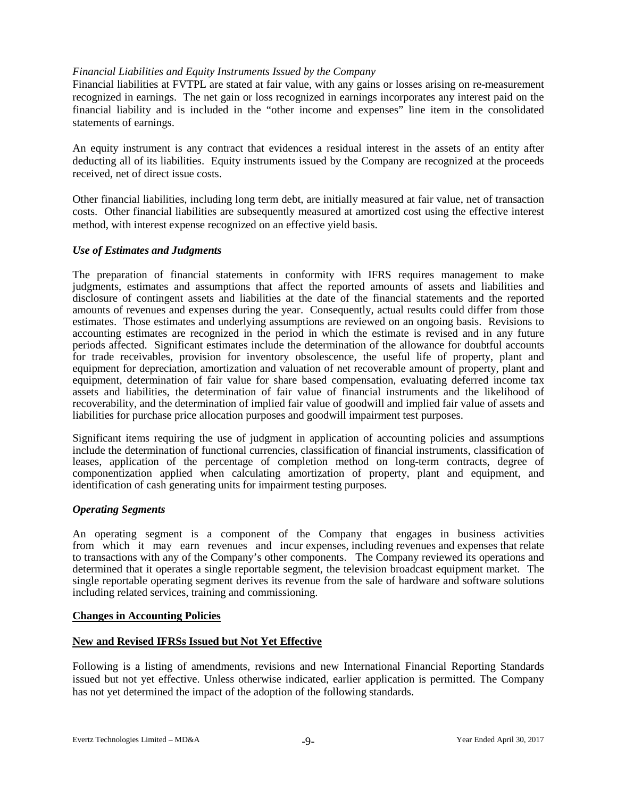# *Financial Liabilities and Equity Instruments Issued by the Company*

Financial liabilities at FVTPL are stated at fair value, with any gains or losses arising on re-measurement recognized in earnings. The net gain or loss recognized in earnings incorporates any interest paid on the financial liability and is included in the "other income and expenses" line item in the consolidated statements of earnings.

An equity instrument is any contract that evidences a residual interest in the assets of an entity after deducting all of its liabilities. Equity instruments issued by the Company are recognized at the proceeds received, net of direct issue costs.

Other financial liabilities, including long term debt, are initially measured at fair value, net of transaction costs. Other financial liabilities are subsequently measured at amortized cost using the effective interest method, with interest expense recognized on an effective yield basis.

### *Use of Estimates and Judgments*

The preparation of financial statements in conformity with IFRS requires management to make judgments, estimates and assumptions that affect the reported amounts of assets and liabilities and disclosure of contingent assets and liabilities at the date of the financial statements and the reported amounts of revenues and expenses during the year. Consequently, actual results could differ from those estimates. Those estimates and underlying assumptions are reviewed on an ongoing basis. Revisions to accounting estimates are recognized in the period in which the estimate is revised and in any future periods affected. Significant estimates include the determination of the allowance for doubtful accounts for trade receivables, provision for inventory obsolescence, the useful life of property, plant and equipment for depreciation, amortization and valuation of net recoverable amount of property, plant and equipment, determination of fair value for share based compensation, evaluating deferred income tax assets and liabilities, the determination of fair value of financial instruments and the likelihood of recoverability, and the determination of implied fair value of goodwill and implied fair value of assets and liabilities for purchase price allocation purposes and goodwill impairment test purposes.

Significant items requiring the use of judgment in application of accounting policies and assumptions include the determination of functional currencies, classification of financial instruments, classification of leases, application of the percentage of completion method on long-term contracts, degree of componentization applied when calculating amortization of property, plant and equipment, and identification of cash generating units for impairment testing purposes.

#### *Operating Segments*

An operating segment is a component of the Company that engages in business activities from which it may earn revenues and incur expenses, including revenues and expenses that relate to transactions with any of the Company's other components. The Company reviewed its operations and determined that it operates a single reportable segment, the television broadcast equipment market. The single reportable operating segment derives its revenue from the sale of hardware and software solutions including related services, training and commissioning.

# **Changes in Accounting Policies**

# **New and Revised IFRSs Issued but Not Yet Effective**

Following is a listing of amendments, revisions and new International Financial Reporting Standards issued but not yet effective. Unless otherwise indicated, earlier application is permitted. The Company has not yet determined the impact of the adoption of the following standards.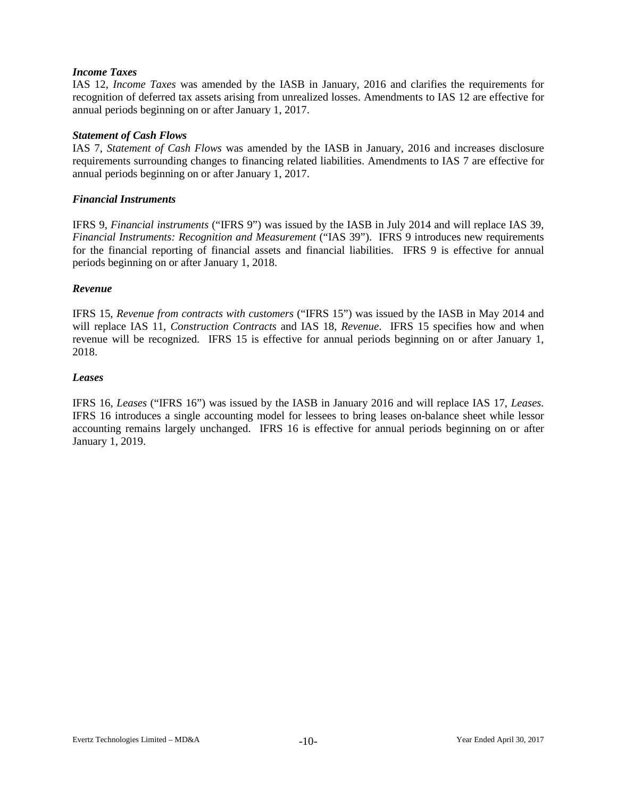### *Income Taxes*

IAS 12, *Income Taxes* was amended by the IASB in January, 2016 and clarifies the requirements for recognition of deferred tax assets arising from unrealized losses. Amendments to IAS 12 are effective for annual periods beginning on or after January 1, 2017.

### *Statement of Cash Flows*

IAS 7, *Statement of Cash Flows* was amended by the IASB in January, 2016 and increases disclosure requirements surrounding changes to financing related liabilities. Amendments to IAS 7 are effective for annual periods beginning on or after January 1, 2017.

### *Financial Instruments*

IFRS 9, *Financial instruments* ("IFRS 9") was issued by the IASB in July 2014 and will replace IAS 39, *Financial Instruments: Recognition and Measurement* ("IAS 39"). IFRS 9 introduces new requirements for the financial reporting of financial assets and financial liabilities. IFRS 9 is effective for annual periods beginning on or after January 1, 2018.

## *Revenue*

IFRS 15, *Revenue from contracts with customers* ("IFRS 15") was issued by the IASB in May 2014 and will replace IAS 11, *Construction Contracts* and IAS 18, *Revenue*. IFRS 15 specifies how and when revenue will be recognized. IFRS 15 is effective for annual periods beginning on or after January 1, 2018.

#### *Leases*

IFRS 16, *Leases* ("IFRS 16") was issued by the IASB in January 2016 and will replace IAS 17, *Leases.* IFRS 16 introduces a single accounting model for lessees to bring leases on-balance sheet while lessor accounting remains largely unchanged. IFRS 16 is effective for annual periods beginning on or after January 1, 2019.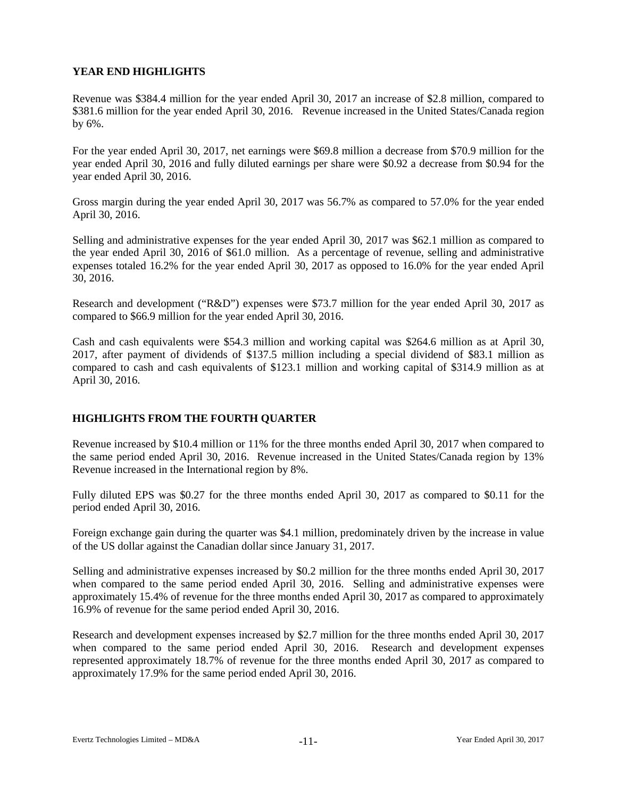# **YEAR END HIGHLIGHTS**

Revenue was \$384.4 million for the year ended April 30, 2017 an increase of \$2.8 million, compared to \$381.6 million for the year ended April 30, 2016. Revenue increased in the United States/Canada region by 6%.

For the year ended April 30, 2017, net earnings were \$69.8 million a decrease from \$70.9 million for the year ended April 30, 2016 and fully diluted earnings per share were \$0.92 a decrease from \$0.94 for the year ended April 30, 2016.

Gross margin during the year ended April 30, 2017 was 56.7% as compared to 57.0% for the year ended April 30, 2016.

Selling and administrative expenses for the year ended April 30, 2017 was \$62.1 million as compared to the year ended April 30, 2016 of \$61.0 million. As a percentage of revenue, selling and administrative expenses totaled 16.2% for the year ended April 30, 2017 as opposed to 16.0% for the year ended April 30, 2016.

Research and development ("R&D") expenses were \$73.7 million for the year ended April 30, 2017 as compared to \$66.9 million for the year ended April 30, 2016.

Cash and cash equivalents were \$54.3 million and working capital was \$264.6 million as at April 30, 2017, after payment of dividends of \$137.5 million including a special dividend of \$83.1 million as compared to cash and cash equivalents of \$123.1 million and working capital of \$314.9 million as at April 30, 2016.

# **HIGHLIGHTS FROM THE FOURTH QUARTER**

Revenue increased by \$10.4 million or 11% for the three months ended April 30, 2017 when compared to the same period ended April 30, 2016. Revenue increased in the United States/Canada region by 13% Revenue increased in the International region by 8%.

Fully diluted EPS was \$0.27 for the three months ended April 30, 2017 as compared to \$0.11 for the period ended April 30, 2016.

Foreign exchange gain during the quarter was \$4.1 million, predominately driven by the increase in value of the US dollar against the Canadian dollar since January 31, 2017.

Selling and administrative expenses increased by \$0.2 million for the three months ended April 30, 2017 when compared to the same period ended April 30, 2016. Selling and administrative expenses were approximately 15.4% of revenue for the three months ended April 30, 2017 as compared to approximately 16.9% of revenue for the same period ended April 30, 2016.

Research and development expenses increased by \$2.7 million for the three months ended April 30, 2017 when compared to the same period ended April 30, 2016. Research and development expenses represented approximately 18.7% of revenue for the three months ended April 30, 2017 as compared to approximately 17.9% for the same period ended April 30, 2016.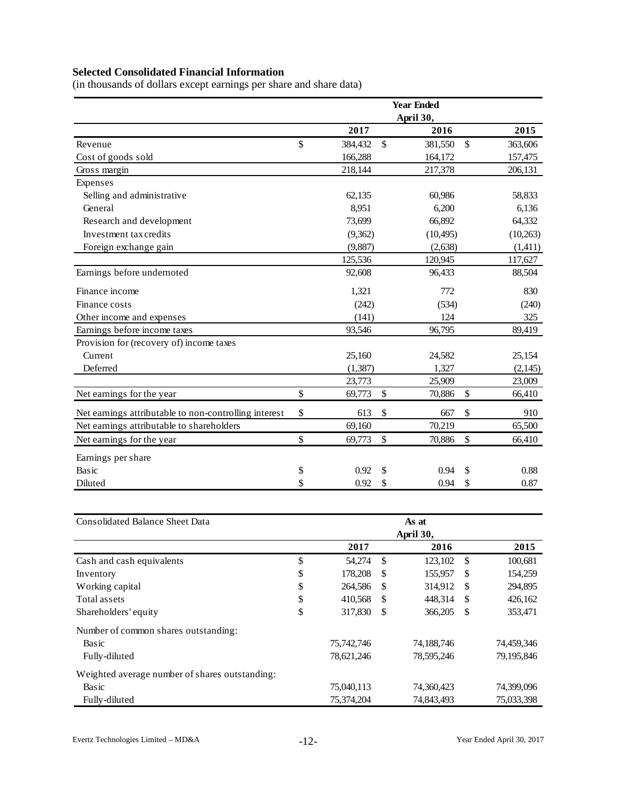# **Selected Consolidated Financial Information**

(in thousands of dollars except earnings per share and share data)

|                                                       |               |               | <b>Year Ended</b> |               |
|-------------------------------------------------------|---------------|---------------|-------------------|---------------|
|                                                       |               |               | April 30,         |               |
|                                                       | 2017          |               | 2016              | 2015          |
| Revenue                                               | \$<br>384,432 | $\mathcal{S}$ | 381,550           | \$<br>363,606 |
| Cost of goods sold                                    | 166,288       |               | 164,172           | 157,475       |
| Gross margin                                          | 218,144       |               | 217,378           | 206,131       |
| Expenses                                              |               |               |                   |               |
| Selling and administrative                            | 62,135        |               | 60,986            | 58,833        |
| General                                               | 8,951         |               | 6,200             | 6,136         |
| Research and development                              | 73,699        |               | 66,892            | 64,332        |
| Investment tax credits                                | (9,362)       |               | (10, 495)         | (10, 263)     |
| Foreign exchange gain                                 | (9,887)       |               | (2,638)           | (1,411)       |
|                                                       | 125,536       |               | 120,945           | 117,627       |
| Earnings before undernoted                            | 92,608        |               | 96,433            | 88,504        |
| Finance income                                        | 1,321         |               | 772               | 830           |
| Finance costs                                         | (242)         |               | (534)             | (240)         |
| Other income and expenses                             | (141)         |               | 124               | 325           |
| Earnings before income taxes                          | 93,546        |               | 96,795            | 89,419        |
| Provision for (recovery of) income taxes              |               |               |                   |               |
| Current                                               | 25,160        |               | 24,582            | 25,154        |
| Deferred                                              | (1, 387)      |               | 1,327             | (2,145)       |
|                                                       | 23,773        |               | 25,909            | 23,009        |
| Net earnings for the year                             | \$<br>69,773  | \$            | 70,886            | \$<br>66,410  |
| Net earnings attributable to non-controlling interest | \$<br>613     | \$            | 667               | \$<br>910     |
| Net earnings attributable to shareholders             | 69,160        |               | 70,219            | 65,500        |
| Net earnings for the year                             | \$<br>69,773  | \$            | 70,886            | \$<br>66,410  |
| Earnings per share                                    |               |               |                   |               |
| Basic                                                 | \$<br>0.92    | \$            | 0.94              | \$<br>0.88    |
| Diluted                                               | \$<br>0.92    | \$            | 0.94              | \$<br>0.87    |

| <b>Consolidated Balance Sheet Data</b>         | As at |            |               |                   |               |            |
|------------------------------------------------|-------|------------|---------------|-------------------|---------------|------------|
|                                                |       | 2017       |               | April 30,<br>2016 |               | 2015       |
| Cash and cash equivalents                      | \$    | 54,274     | \$            | 123,102           | <sup>\$</sup> | 100,681    |
| Inventory                                      | \$    | 178,208    | <sup>\$</sup> | 155,957           | -S            | 154,259    |
| Working capital                                | \$    | 264,586    | \$            | 314,912           | <sup>\$</sup> | 294,895    |
| Total assets                                   | \$    | 410,568    | -S            | 448,314           | \$            | 426,162    |
| Shareholders' equity                           | \$    | 317,830    | \$.           | 366,205           | \$            | 353,471    |
| Number of common shares outstanding:           |       |            |               |                   |               |            |
| Basic                                          |       | 75,742,746 |               | 74,188,746        |               | 74,459,346 |
| Fully-diluted                                  |       | 78,621,246 |               | 78,595,246        |               | 79,195,846 |
| Weighted average number of shares outstanding: |       |            |               |                   |               |            |
| Basic                                          |       | 75,040,113 |               | 74,360,423        |               | 74,399,096 |
| Fully-diluted                                  |       | 75,374,204 |               | 74,843,493        |               | 75,033,398 |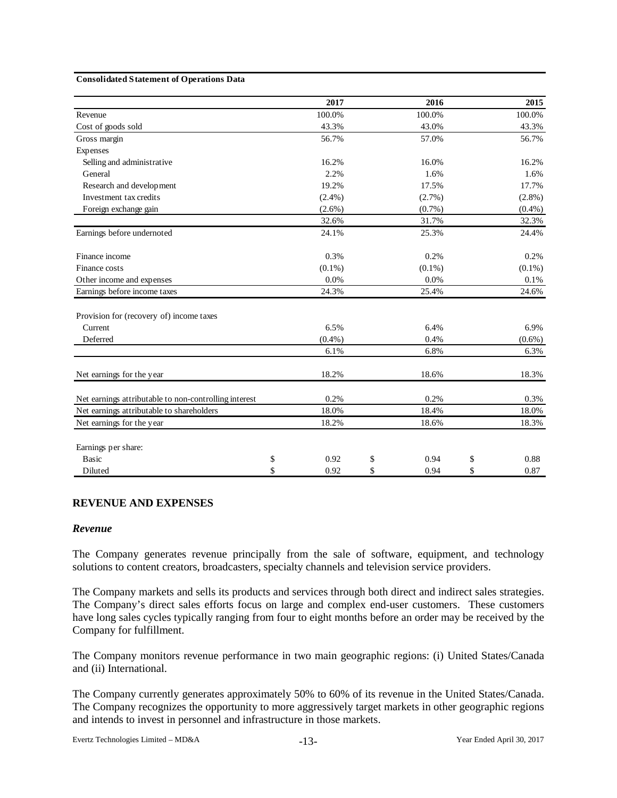#### **Consolidated Statement of Operations Data**

|                                                       | 2017       | 2016       | 2015       |
|-------------------------------------------------------|------------|------------|------------|
| Revenue                                               | 100.0%     | 100.0%     | 100.0%     |
| Cost of goods sold                                    | 43.3%      | 43.0%      | 43.3%      |
| Gross margin                                          | 56.7%      | 57.0%      | 56.7%      |
| Expenses                                              |            |            |            |
| Selling and administrative                            | 16.2%      | 16.0%      | 16.2%      |
| General                                               | 2.2%       | 1.6%       | 1.6%       |
| Research and development                              | 19.2%      | 17.5%      | 17.7%      |
| Investment tax credits                                | $(2.4\%)$  | $(2.7\%)$  | $(2.8\%)$  |
| Foreign exchange gain                                 | $(2.6\%)$  | $(0.7\%)$  | $(0.4\%)$  |
|                                                       | 32.6%      | 31.7%      | 32.3%      |
| Earnings before undernoted                            | 24.1%      | 25.3%      | 24.4%      |
| Finance income                                        | 0.3%       | 0.2%       | 0.2%       |
| Finance costs                                         | $(0.1\%)$  | $(0.1\%)$  | $(0.1\%)$  |
| Other income and expenses                             | 0.0%       | 0.0%       | 0.1%       |
| Earnings before income taxes                          | 24.3%      | 25.4%      | 24.6%      |
| Provision for (recovery of) income taxes              |            |            |            |
| Current                                               | 6.5%       | 6.4%       | 6.9%       |
| Deferred                                              | $(0.4\%)$  | 0.4%       | $(0.6\%)$  |
|                                                       | 6.1%       | 6.8%       | 6.3%       |
| Net earnings for the year                             | 18.2%      | 18.6%      | 18.3%      |
| Net earnings attributable to non-controlling interest | 0.2%       | 0.2%       | 0.3%       |
| Net earnings attributable to shareholders             | 18.0%      | 18.4%      | 18.0%      |
| Net earnings for the year                             | 18.2%      | 18.6%      | 18.3%      |
| Earnings per share:                                   |            |            |            |
| <b>Basic</b>                                          | \$<br>0.92 | \$<br>0.94 | \$<br>0.88 |
| Diluted                                               | \$<br>0.92 | \$<br>0.94 | \$<br>0.87 |

#### **REVENUE AND EXPENSES**

#### *Revenue*

The Company generates revenue principally from the sale of software, equipment, and technology solutions to content creators, broadcasters, specialty channels and television service providers.

The Company markets and sells its products and services through both direct and indirect sales strategies. The Company's direct sales efforts focus on large and complex end-user customers. These customers have long sales cycles typically ranging from four to eight months before an order may be received by the Company for fulfillment.

The Company monitors revenue performance in two main geographic regions: (i) United States/Canada and (ii) International.

The Company currently generates approximately 50% to 60% of its revenue in the United States/Canada. The Company recognizes the opportunity to more aggressively target markets in other geographic regions and intends to invest in personnel and infrastructure in those markets.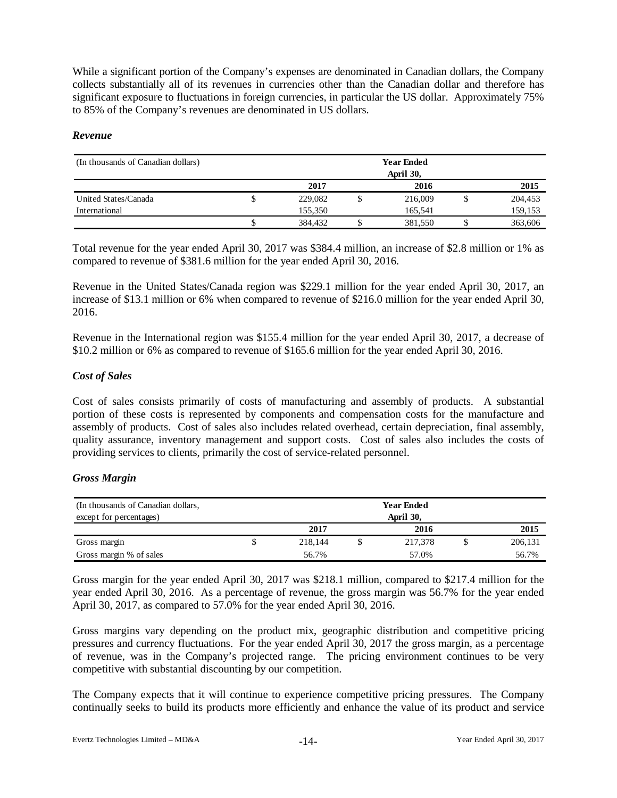While a significant portion of the Company's expenses are denominated in Canadian dollars, the Company collects substantially all of its revenues in currencies other than the Canadian dollar and therefore has significant exposure to fluctuations in foreign currencies, in particular the US dollar. Approximately 75% to 85% of the Company's revenues are denominated in US dollars.

# *Revenue*

| (In thousands of Canadian dollars) | <b>Year Ended</b><br>April 30, |         |  |         |  |         |
|------------------------------------|--------------------------------|---------|--|---------|--|---------|
|                                    |                                | 2017    |  | 2016    |  | 2015    |
| United States/Canada               | J                              | 229,082 |  | 216,009 |  | 204,453 |
| International                      |                                | 155,350 |  | 165.541 |  | 159,153 |
|                                    |                                | 384,432 |  | 381,550 |  | 363,606 |

Total revenue for the year ended April 30, 2017 was \$384.4 million, an increase of \$2.8 million or 1% as compared to revenue of \$381.6 million for the year ended April 30, 2016.

Revenue in the United States/Canada region was \$229.1 million for the year ended April 30, 2017, an increase of \$13.1 million or 6% when compared to revenue of \$216.0 million for the year ended April 30, 2016.

Revenue in the International region was \$155.4 million for the year ended April 30, 2017, a decrease of \$10.2 million or 6% as compared to revenue of \$165.6 million for the year ended April 30, 2016.

# *Cost of Sales*

Cost of sales consists primarily of costs of manufacturing and assembly of products. A substantial portion of these costs is represented by components and compensation costs for the manufacture and assembly of products. Cost of sales also includes related overhead, certain depreciation, final assembly, quality assurance, inventory management and support costs. Cost of sales also includes the costs of providing services to clients, primarily the cost of service-related personnel.

# *Gross Margin*

| (In thousands of Canadian dollars, |           | <b>Year Ended</b> |  |         |  |         |
|------------------------------------|-----------|-------------------|--|---------|--|---------|
| except for percentages)            | April 30, |                   |  |         |  |         |
|                                    |           | 2017              |  | 2016    |  | 2015    |
| Gross margin                       |           | 218,144           |  | 217,378 |  | 206,131 |
| Gross margin % of sales            |           | 56.7%             |  | 57.0%   |  | 56.7%   |

Gross margin for the year ended April 30, 2017 was \$218.1 million, compared to \$217.4 million for the year ended April 30, 2016. As a percentage of revenue, the gross margin was 56.7% for the year ended April 30, 2017, as compared to 57.0% for the year ended April 30, 2016.

Gross margins vary depending on the product mix, geographic distribution and competitive pricing pressures and currency fluctuations. For the year ended April 30, 2017 the gross margin, as a percentage of revenue, was in the Company's projected range. The pricing environment continues to be very competitive with substantial discounting by our competition.

The Company expects that it will continue to experience competitive pricing pressures. The Company continually seeks to build its products more efficiently and enhance the value of its product and service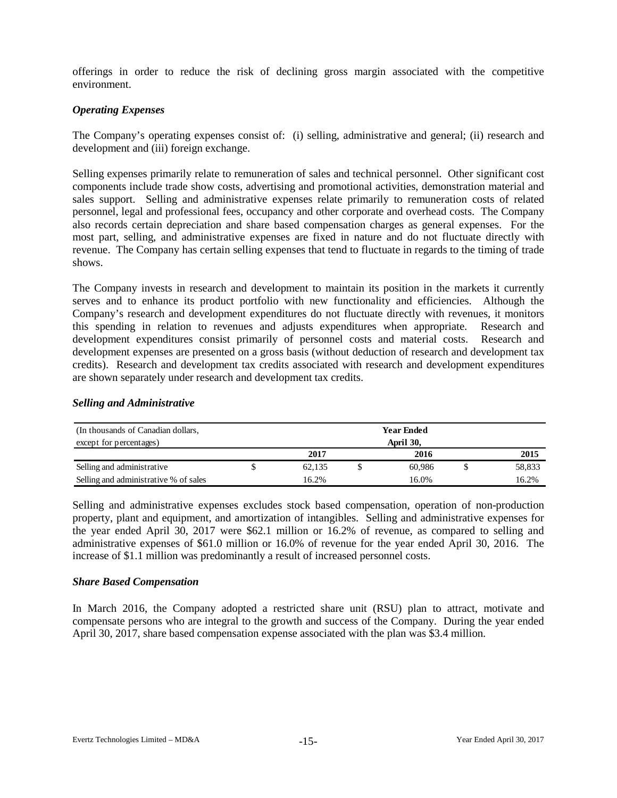offerings in order to reduce the risk of declining gross margin associated with the competitive environment.

# *Operating Expenses*

The Company's operating expenses consist of: (i) selling, administrative and general; (ii) research and development and (iii) foreign exchange.

Selling expenses primarily relate to remuneration of sales and technical personnel. Other significant cost components include trade show costs, advertising and promotional activities, demonstration material and sales support. Selling and administrative expenses relate primarily to remuneration costs of related personnel, legal and professional fees, occupancy and other corporate and overhead costs. The Company also records certain depreciation and share based compensation charges as general expenses. For the most part, selling, and administrative expenses are fixed in nature and do not fluctuate directly with revenue. The Company has certain selling expenses that tend to fluctuate in regards to the timing of trade shows.

The Company invests in research and development to maintain its position in the markets it currently serves and to enhance its product portfolio with new functionality and efficiencies. Although the Company's research and development expenditures do not fluctuate directly with revenues, it monitors this spending in relation to revenues and adjusts expenditures when appropriate. Research and development expenditures consist primarily of personnel costs and material costs. Research and development expenses are presented on a gross basis (without deduction of research and development tax credits). Research and development tax credits associated with research and development expenditures are shown separately under research and development tax credits.

# *Selling and Administrative*

| (In thousands of Canadian dollars,    | <b>Year Ended</b> |  |        |  |        |
|---------------------------------------|-------------------|--|--------|--|--------|
| except for percentages)               | April 30,         |  |        |  |        |
|                                       | 2017              |  | 2016   |  | 2015   |
| Selling and administrative            | 62.135            |  | 60.986 |  | 58,833 |
| Selling and administrative % of sales | 16.2%             |  | 16.0%  |  | 16.2%  |

Selling and administrative expenses excludes stock based compensation, operation of non-production property, plant and equipment, and amortization of intangibles. Selling and administrative expenses for the year ended April 30, 2017 were \$62.1 million or 16.2% of revenue, as compared to selling and administrative expenses of \$61.0 million or 16.0% of revenue for the year ended April 30, 2016. The increase of \$1.1 million was predominantly a result of increased personnel costs.

#### *Share Based Compensation*

In March 2016, the Company adopted a restricted share unit (RSU) plan to attract, motivate and compensate persons who are integral to the growth and success of the Company. During the year ended April 30, 2017, share based compensation expense associated with the plan was \$3.4 million.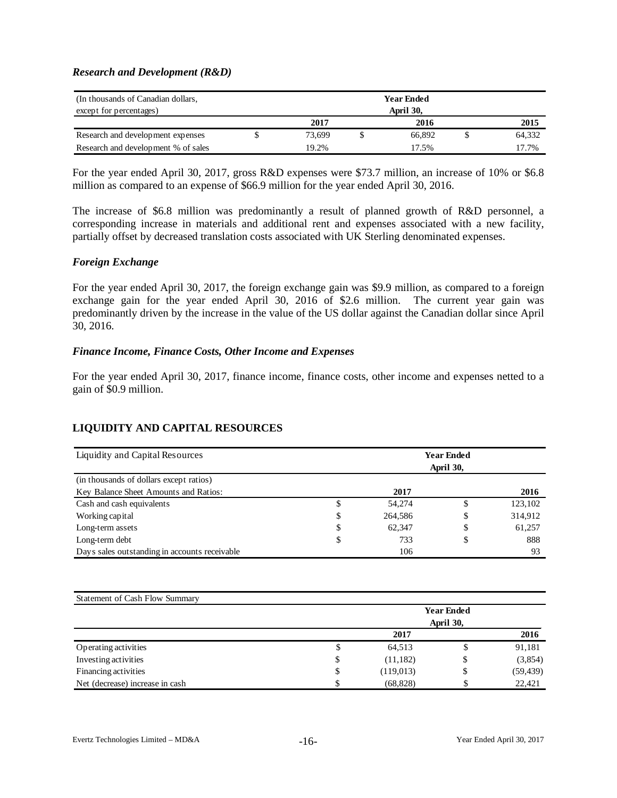### *Research and Development (R&D)*

| (In thousands of Canadian dollars,  | <b>Year Ended</b> |  |        |  |        |
|-------------------------------------|-------------------|--|--------|--|--------|
| except for percentages)             | April 30,         |  |        |  |        |
|                                     | 2017              |  | 2016   |  | 2015   |
| Research and development expenses   | 73.699            |  | 66.892 |  | 64,332 |
| Research and development % of sales | 19.2%             |  | 17.5%  |  | 17.7%  |

For the year ended April 30, 2017, gross R&D expenses were \$73.7 million, an increase of 10% or \$6.8 million as compared to an expense of \$66.9 million for the year ended April 30, 2016.

The increase of \$6.8 million was predominantly a result of planned growth of R&D personnel, a corresponding increase in materials and additional rent and expenses associated with a new facility, partially offset by decreased translation costs associated with UK Sterling denominated expenses.

### *Foreign Exchange*

For the year ended April 30, 2017, the foreign exchange gain was \$9.9 million, as compared to a foreign exchange gain for the year ended April 30, 2016 of \$2.6 million. The current year gain was predominantly driven by the increase in the value of the US dollar against the Canadian dollar since April 30, 2016.

### *Finance Income, Finance Costs, Other Income and Expenses*

For the year ended April 30, 2017, finance income, finance costs, other income and expenses netted to a gain of \$0.9 million.

# **LIQUIDITY AND CAPITAL RESOURCES**

| Liquidity and Capital Resources               | <b>Year Ended</b><br>April 30, |         |    |         |  |
|-----------------------------------------------|--------------------------------|---------|----|---------|--|
| (in thousands of dollars except ratios)       |                                |         |    |         |  |
| Key Balance Sheet Amounts and Ratios:         |                                | 2017    |    | 2016    |  |
| Cash and cash equivalents                     | \$                             | 54,274  | \$ | 123,102 |  |
| Working capital                               | \$                             | 264,586 | \$ | 314,912 |  |
| Long-term assets                              | \$                             | 62.347  | \$ | 61,257  |  |
| Long-term debt                                | \$                             | 733     | \$ | 888     |  |
| Days sales outstanding in accounts receivable |                                | 106     |    | 93      |  |

| Statement of Cash Flow Summary  |    |                   |           |           |  |  |  |  |
|---------------------------------|----|-------------------|-----------|-----------|--|--|--|--|
|                                 |    | <b>Year Ended</b> |           |           |  |  |  |  |
|                                 |    |                   | April 30, |           |  |  |  |  |
|                                 |    | 2017              |           | 2016      |  |  |  |  |
| Operating activities            | Φ  | 64,513            | Φ         | 91,181    |  |  |  |  |
| Investing activities            | \$ | (11,182)          | \$        | (3,854)   |  |  |  |  |
| Financing activities            | \$ | (119, 013)        | \$        | (59, 439) |  |  |  |  |
| Net (decrease) increase in cash | \$ | (68, 828)         | J         | 22.421    |  |  |  |  |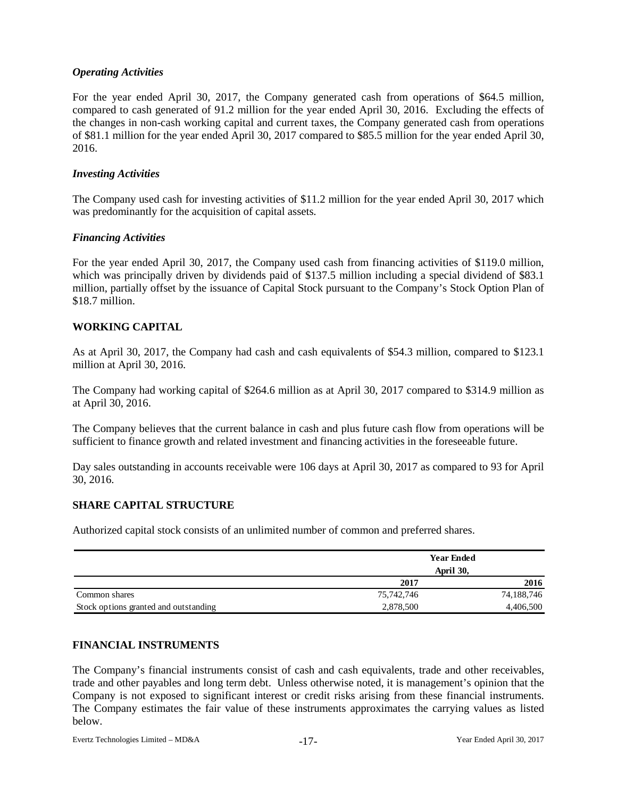# *Operating Activities*

For the year ended April 30, 2017, the Company generated cash from operations of \$64.5 million, compared to cash generated of 91.2 million for the year ended April 30, 2016. Excluding the effects of the changes in non-cash working capital and current taxes, the Company generated cash from operations of \$81.1 million for the year ended April 30, 2017 compared to \$85.5 million for the year ended April 30, 2016.

### *Investing Activities*

The Company used cash for investing activities of \$11.2 million for the year ended April 30, 2017 which was predominantly for the acquisition of capital assets.

### *Financing Activities*

For the year ended April 30, 2017, the Company used cash from financing activities of \$119.0 million, which was principally driven by dividends paid of \$137.5 million including a special dividend of \$83.1 million, partially offset by the issuance of Capital Stock pursuant to the Company's Stock Option Plan of \$18.7 million.

# **WORKING CAPITAL**

As at April 30, 2017, the Company had cash and cash equivalents of \$54.3 million, compared to \$123.1 million at April 30, 2016.

The Company had working capital of \$264.6 million as at April 30, 2017 compared to \$314.9 million as at April 30, 2016.

The Company believes that the current balance in cash and plus future cash flow from operations will be sufficient to finance growth and related investment and financing activities in the foreseeable future.

Day sales outstanding in accounts receivable were 106 days at April 30, 2017 as compared to 93 for April 30, 2016.

### **SHARE CAPITAL STRUCTURE**

Authorized capital stock consists of an unlimited number of common and preferred shares.

|                                       | <b>Year Ended</b><br>April 30, |            |  |  |
|---------------------------------------|--------------------------------|------------|--|--|
|                                       |                                |            |  |  |
|                                       | 2017                           | 2016       |  |  |
| Common shares                         | 75,742,746                     | 74,188,746 |  |  |
| Stock options granted and outstanding | 2,878,500                      | 4,406,500  |  |  |

## **FINANCIAL INSTRUMENTS**

The Company's financial instruments consist of cash and cash equivalents, trade and other receivables, trade and other payables and long term debt. Unless otherwise noted, it is management's opinion that the Company is not exposed to significant interest or credit risks arising from these financial instruments. The Company estimates the fair value of these instruments approximates the carrying values as listed below.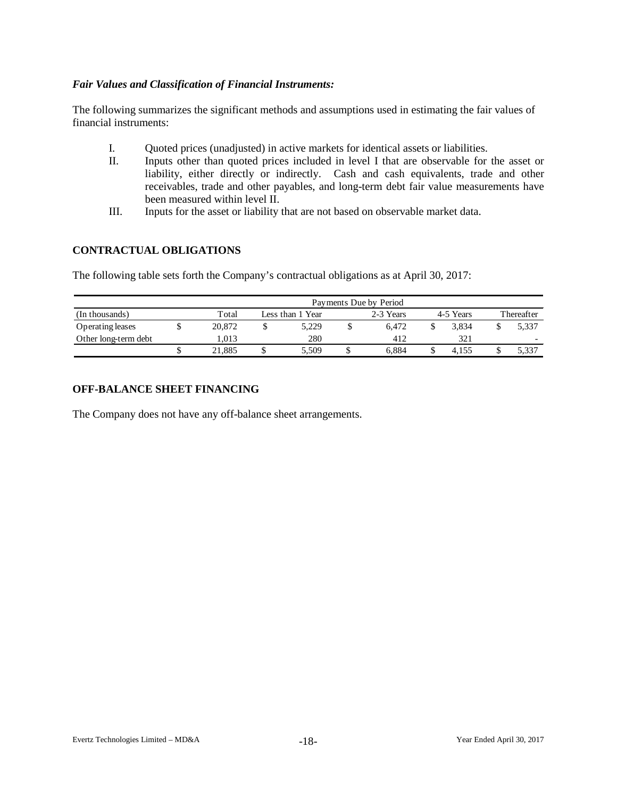# *Fair Values and Classification of Financial Instruments:*

The following summarizes the significant methods and assumptions used in estimating the fair values of financial instruments:

- I. Quoted prices (unadjusted) in active markets for identical assets or liabilities.
- II. Inputs other than quoted prices included in level I that are observable for the asset or liability, either directly or indirectly. Cash and cash equivalents, trade and other receivables, trade and other payables, and long-term debt fair value measurements have been measured within level II.
- III. Inputs for the asset or liability that are not based on observable market data.

# **CONTRACTUAL OBLIGATIONS**

The following table sets forth the Company's contractual obligations as at April 30, 2017:

|                      | Payments Due by Period |                  |       |  |           |           |       |            |                          |  |  |  |  |
|----------------------|------------------------|------------------|-------|--|-----------|-----------|-------|------------|--------------------------|--|--|--|--|
| (In thousands)       | Total                  | Less than 1 Year |       |  | 2-3 Years | 4-5 Years |       | Thereafter |                          |  |  |  |  |
| Operating leases     | 20,872                 |                  | 5.229 |  | 6.472     |           | 3.834 |            | 5.337                    |  |  |  |  |
| Other long-term debt | 1.013                  |                  | 280   |  | 412       |           | 321   |            | $\overline{\phantom{0}}$ |  |  |  |  |
|                      | 21.885                 |                  | 5.509 |  | 6.884     |           | 4.155 |            | 5,337                    |  |  |  |  |

# **OFF-BALANCE SHEET FINANCING**

The Company does not have any off-balance sheet arrangements.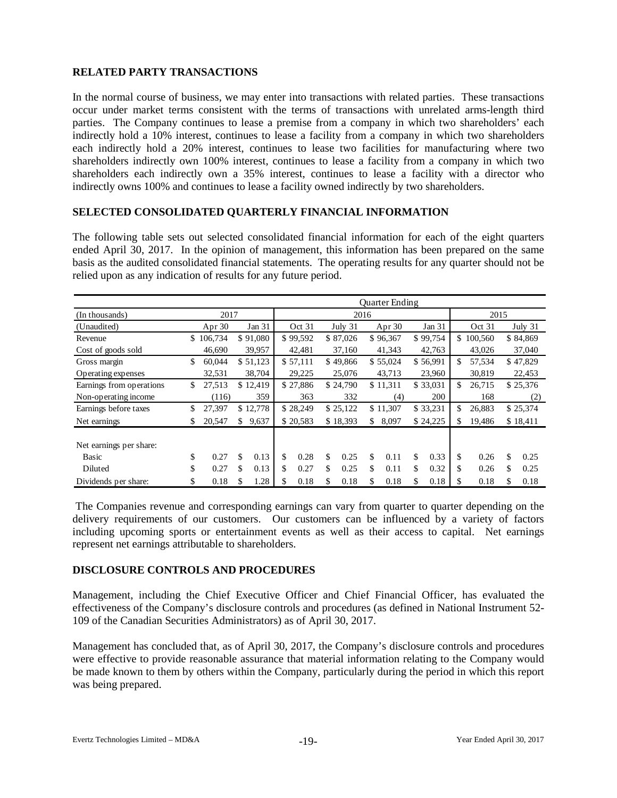# **RELATED PARTY TRANSACTIONS**

In the normal course of business, we may enter into transactions with related parties. These transactions occur under market terms consistent with the terms of transactions with unrelated arms-length third parties. The Company continues to lease a premise from a company in which two shareholders' each indirectly hold a 10% interest, continues to lease a facility from a company in which two shareholders each indirectly hold a 20% interest, continues to lease two facilities for manufacturing where two shareholders indirectly own 100% interest, continues to lease a facility from a company in which two shareholders each indirectly own a 35% interest, continues to lease a facility with a director who indirectly owns 100% and continues to lease a facility owned indirectly by two shareholders.

# **SELECTED CONSOLIDATED QUARTERLY FINANCIAL INFORMATION**

The following table sets out selected consolidated financial information for each of the eight quarters ended April 30, 2017. In the opinion of management, this information has been prepared on the same basis as the audited consolidated financial statements. The operating results for any quarter should not be relied upon as any indication of results for any future period.

|                          | Quarter Ending |           |    |          |      |          |    |          |    |          |    |          |      |           |    |           |
|--------------------------|----------------|-----------|----|----------|------|----------|----|----------|----|----------|----|----------|------|-----------|----|-----------|
| (In thousands)           | 2017           |           |    |          | 2016 |          |    |          |    |          |    |          | 2015 |           |    |           |
| (Unaudited)              |                | Apr $30$  |    | Jan 31   |      | Oct 31   |    | July 31  |    | Apr 30   |    | Jan 31   |      | Oct 31    |    | July $31$ |
| Revenue                  |                | \$106,734 |    | \$91,080 |      | \$99,592 |    | \$87,026 |    | \$96,367 |    | \$99,754 |      | \$100,560 |    | \$84,869  |
| Cost of goods sold       |                | 46,690    |    | 39,957   |      | 42,481   |    | 37,160   |    | 41,343   |    | 42,763   |      | 43,026    |    | 37,040    |
| Gross margin             | \$             | 60,044    |    | \$51,123 |      | \$57,111 |    | \$49,866 |    | \$55,024 |    | \$56,991 | \$   | 57,534    |    | \$47,829  |
| Operating expenses       |                | 32,531    |    | 38,704   |      | 29,225   |    | 25,076   |    | 43,713   |    | 23,960   |      | 30,819    |    | 22,453    |
| Earnings from operations | \$             | 27,513    |    | \$12,419 |      | \$27,886 |    | \$24,790 |    | \$11,311 |    | \$33,031 | \$   | 26,715    |    | \$25,376  |
| Non-operating income     |                | (116)     |    | 359      |      | 363      |    | 332      |    | (4)      |    | 200      |      | 168       |    | (2)       |
| Earnings before taxes    | \$             | 27.397    |    | \$12,778 |      | \$28,249 |    | \$25,122 |    | \$11,307 |    | \$33,231 | \$.  | 26,883    |    | \$25,374  |
| Net earnings             | S.             | 20.547    | \$ | 9,637    |      | \$20,583 |    | \$18,393 | \$ | 8,097    |    | \$24,225 | \$.  | 19.486    |    | \$18,411  |
|                          |                |           |    |          |      |          |    |          |    |          |    |          |      |           |    |           |
| Net earnings per share:  |                |           |    |          |      |          |    |          |    |          |    |          |      |           |    |           |
| Basic                    | \$             | 0.27      | \$ | 0.13     | \$   | 0.28     | \$ | 0.25     | \$ | 0.11     | \$ | 0.33     | \$   | 0.26      | \$ | 0.25      |
| Diluted                  | \$             | 0.27      | \$ | 0.13     | \$   | 0.27     | \$ | 0.25     | \$ | 0.11     | \$ | 0.32     | \$   | 0.26      | \$ | 0.25      |
| Dividends per share:     | \$             | 0.18      | \$ | 1.28     | \$   | 0.18     | \$ | 0.18     | \$ | 0.18     | \$ | 0.18     |      | 0.18      | \$ | 0.18      |

The Companies revenue and corresponding earnings can vary from quarter to quarter depending on the delivery requirements of our customers. Our customers can be influenced by a variety of factors including upcoming sports or entertainment events as well as their access to capital. Net earnings represent net earnings attributable to shareholders.

#### **DISCLOSURE CONTROLS AND PROCEDURES**

Management, including the Chief Executive Officer and Chief Financial Officer, has evaluated the effectiveness of the Company's disclosure controls and procedures (as defined in National Instrument 52- 109 of the Canadian Securities Administrators) as of April 30, 2017.

Management has concluded that, as of April 30, 2017, the Company's disclosure controls and procedures were effective to provide reasonable assurance that material information relating to the Company would be made known to them by others within the Company, particularly during the period in which this report was being prepared.